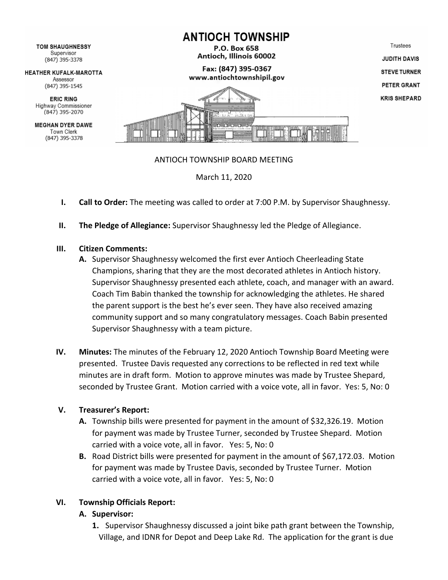

- **I. Call to Order:** The meeting was called to order at 7:00 P.M. by Supervisor Shaughnessy.
- **II. The Pledge of Allegiance:** Supervisor Shaughnessy led the Pledge of Allegiance.

## **III. Citizen Comments:**

- **A.** Supervisor Shaughnessy welcomed the first ever Antioch Cheerleading State Champions, sharing that they are the most decorated athletes in Antioch history. Supervisor Shaughnessy presented each athlete, coach, and manager with an award. Coach Tim Babin thanked the township for acknowledging the athletes. He shared the parent support is the best he's ever seen. They have also received amazing community support and so many congratulatory messages. Coach Babin presented Supervisor Shaughnessy with a team picture.
- **IV. Minutes:** The minutes of the February 12, 2020 Antioch Township Board Meeting were presented. Trustee Davis requested any corrections to be reflected in red text while minutes are in draft form. Motion to approve minutes was made by Trustee Shepard, seconded by Trustee Grant. Motion carried with a voice vote, all in favor. Yes: 5, No: 0

## **V. Treasurer's Report:**

- **A.** Township bills were presented for payment in the amount of \$32,326.19. Motion for payment was made by Trustee Turner, seconded by Trustee Shepard. Motion carried with a voice vote, all in favor. Yes: 5, No: 0
- **B.** Road District bills were presented for payment in the amount of \$67,172.03. Motion for payment was made by Trustee Davis, seconded by Trustee Turner. Motion carried with a voice vote, all in favor. Yes: 5, No: 0

## **VI. Township Officials Report:**

## **A. Supervisor:**

**1.** Supervisor Shaughnessy discussed a joint bike path grant between the Township, Village, and IDNR for Depot and Deep Lake Rd. The application for the grant is due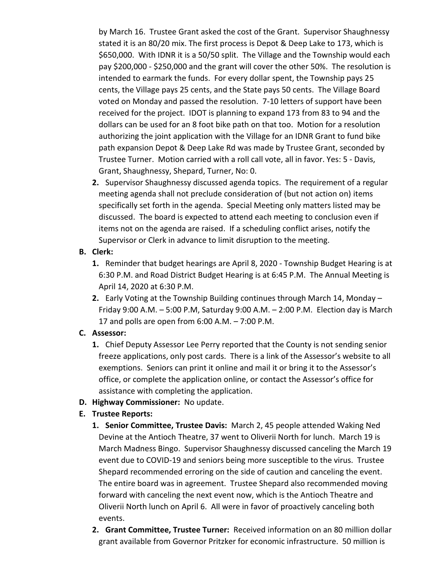by March 16. Trustee Grant asked the cost of the Grant. Supervisor Shaughnessy stated it is an 80/20 mix. The first process is Depot & Deep Lake to 173, which is \$650,000. With IDNR it is a 50/50 split. The Village and the Township would each pay \$200,000 - \$250,000 and the grant will cover the other 50%. The resolution is intended to earmark the funds. For every dollar spent, the Township pays 25 cents, the Village pays 25 cents, and the State pays 50 cents. The Village Board voted on Monday and passed the resolution. 7-10 letters of support have been received for the project. IDOT is planning to expand 173 from 83 to 94 and the dollars can be used for an 8 foot bike path on that too. Motion for a resolution authorizing the joint application with the Village for an IDNR Grant to fund bike path expansion Depot & Deep Lake Rd was made by Trustee Grant, seconded by Trustee Turner. Motion carried with a roll call vote, all in favor. Yes: 5 - Davis, Grant, Shaughnessy, Shepard, Turner, No: 0.

**2.** Supervisor Shaughnessy discussed agenda topics. The requirement of a regular meeting agenda shall not preclude consideration of (but not action on) items specifically set forth in the agenda. Special Meeting only matters listed may be discussed. The board is expected to attend each meeting to conclusion even if items not on the agenda are raised. If a scheduling conflict arises, notify the Supervisor or Clerk in advance to limit disruption to the meeting.

## **B. Clerk:**

- **1.** Reminder that budget hearings are April 8, 2020 Township Budget Hearing is at 6:30 P.M. and Road District Budget Hearing is at 6:45 P.M. The Annual Meeting is April 14, 2020 at 6:30 P.M.
- **2.** Early Voting at the Township Building continues through March 14, Monday Friday 9:00 A.M. – 5:00 P.M, Saturday 9:00 A.M. – 2:00 P.M. Election day is March 17 and polls are open from 6:00 A.M. – 7:00 P.M.

## **C. Assessor:**

- **1.** Chief Deputy Assessor Lee Perry reported that the County is not sending senior freeze applications, only post cards. There is a link of the Assessor's website to all exemptions. Seniors can print it online and mail it or bring it to the Assessor's office, or complete the application online, or contact the Assessor's office for assistance with completing the application.
- **D. Highway Commissioner:** No update.

# **E. Trustee Reports:**

- **1. Senior Committee, Trustee Davis:** March 2, 45 people attended Waking Ned Devine at the Antioch Theatre, 37 went to Oliverii North for lunch. March 19 is March Madness Bingo. Supervisor Shaughnessy discussed canceling the March 19 event due to COVID-19 and seniors being more susceptible to the virus. Trustee Shepard recommended erroring on the side of caution and canceling the event. The entire board was in agreement. Trustee Shepard also recommended moving forward with canceling the next event now, which is the Antioch Theatre and Oliverii North lunch on April 6. All were in favor of proactively canceling both events.
- **2. Grant Committee, Trustee Turner:** Received information on an 80 million dollar grant available from Governor Pritzker for economic infrastructure. 50 million is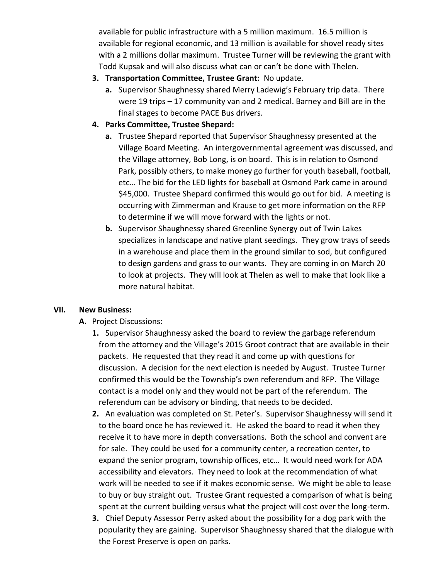available for public infrastructure with a 5 million maximum. 16.5 million is available for regional economic, and 13 million is available for shovel ready sites with a 2 millions dollar maximum. Trustee Turner will be reviewing the grant with Todd Kupsak and will also discuss what can or can't be done with Thelen.

- **3. Transportation Committee, Trustee Grant:** No update.
	- **a.** Supervisor Shaughnessy shared Merry Ladewig's February trip data. There were 19 trips – 17 community van and 2 medical. Barney and Bill are in the final stages to become PACE Bus drivers.
- **4. Parks Committee, Trustee Shepard:** 
	- **a.** Trustee Shepard reported that Supervisor Shaughnessy presented at the Village Board Meeting. An intergovernmental agreement was discussed, and the Village attorney, Bob Long, is on board. This is in relation to Osmond Park, possibly others, to make money go further for youth baseball, football, etc… The bid for the LED lights for baseball at Osmond Park came in around \$45,000. Trustee Shepard confirmed this would go out for bid. A meeting is occurring with Zimmerman and Krause to get more information on the RFP to determine if we will move forward with the lights or not.
	- **b.** Supervisor Shaughnessy shared Greenline Synergy out of Twin Lakes specializes in landscape and native plant seedings. They grow trays of seeds in a warehouse and place them in the ground similar to sod, but configured to design gardens and grass to our wants. They are coming in on March 20 to look at projects. They will look at Thelen as well to make that look like a more natural habitat.

# **VII. New Business:**

# **A.** Project Discussions:

- **1.** Supervisor Shaughnessy asked the board to review the garbage referendum from the attorney and the Village's 2015 Groot contract that are available in their packets. He requested that they read it and come up with questions for discussion. A decision for the next election is needed by August. Trustee Turner confirmed this would be the Township's own referendum and RFP. The Village contact is a model only and they would not be part of the referendum. The referendum can be advisory or binding, that needs to be decided.
- **2.** An evaluation was completed on St. Peter's. Supervisor Shaughnessy will send it to the board once he has reviewed it. He asked the board to read it when they receive it to have more in depth conversations. Both the school and convent are for sale. They could be used for a community center, a recreation center, to expand the senior program, township offices, etc… It would need work for ADA accessibility and elevators. They need to look at the recommendation of what work will be needed to see if it makes economic sense. We might be able to lease to buy or buy straight out. Trustee Grant requested a comparison of what is being spent at the current building versus what the project will cost over the long-term.
- **3.** Chief Deputy Assessor Perry asked about the possibility for a dog park with the popularity they are gaining. Supervisor Shaughnessy shared that the dialogue with the Forest Preserve is open on parks.